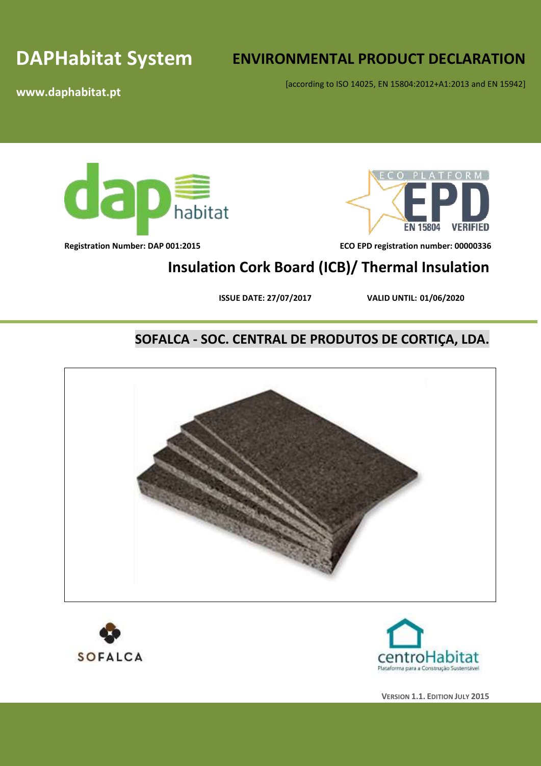# **DAPHabitat System**

# **ENVIRONMENTAL PRODUCT DECLARATION**

[according to ISO 14025, EN 15804:2012+A1:2013 and EN 15942]

**www.daphabitat.pt**







**Registration Number: DAP 001:2015 ECO EPD registration number: 00000336**

# **Insulation Cork Board (ICB)/ Thermal Insulation**

**ISSUE DATE: 27/07/2017 VALID UNTIL: 01/06/2020**

# **SOFALCA - SOC. CENTRAL DE PRODUTOS DE CORTIÇA, LDA.**





**VERSION 1.1. EDITION JULY 2015**

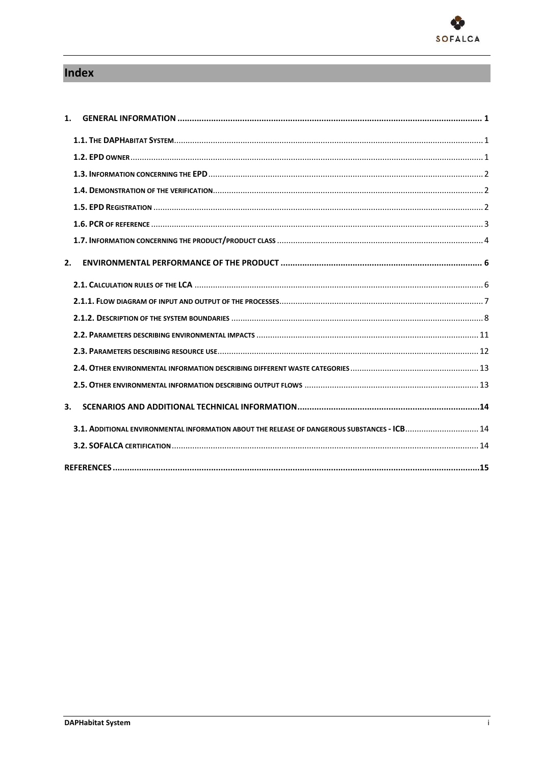

# Index

| 1. |                                                                                              |  |
|----|----------------------------------------------------------------------------------------------|--|
|    |                                                                                              |  |
|    |                                                                                              |  |
|    |                                                                                              |  |
|    |                                                                                              |  |
|    |                                                                                              |  |
|    |                                                                                              |  |
|    |                                                                                              |  |
| 2. |                                                                                              |  |
|    |                                                                                              |  |
|    |                                                                                              |  |
|    |                                                                                              |  |
|    |                                                                                              |  |
|    |                                                                                              |  |
|    |                                                                                              |  |
|    |                                                                                              |  |
| 3. |                                                                                              |  |
|    | 3.1. ADDITIONAL ENVIRONMENTAL INFORMATION ABOUT THE RELEASE OF DANGEROUS SUBSTANCES - ICB 14 |  |
|    |                                                                                              |  |
|    |                                                                                              |  |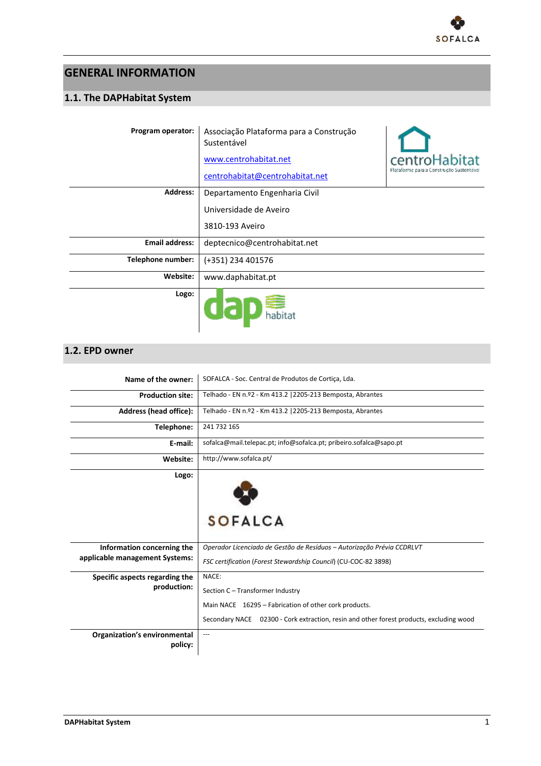

## <span id="page-4-0"></span>**GENERAL INFORMATION**

### <span id="page-4-1"></span>**1.1. The DAPHabitat System**

| Program operator:     | Associação Plataforma para a Construção<br>Sustentável |                                          |
|-----------------------|--------------------------------------------------------|------------------------------------------|
|                       | www.centrohabitat.net                                  | centroHabitat                            |
|                       | centrohabitat@centrohabitat.net                        | Plataforma para a Construção Sustentável |
| <b>Address:</b>       | Departamento Engenharia Civil                          |                                          |
|                       | Universidade de Aveiro                                 |                                          |
|                       | 3810-193 Aveiro                                        |                                          |
| <b>Email address:</b> | deptecnico@centrohabitat.net                           |                                          |
| Telephone number:     | (+351) 234 401576                                      |                                          |
| Website:              | www.daphabitat.pt                                      |                                          |
| Logo:                 |                                                        |                                          |

### <span id="page-4-2"></span>**1.2. EPD owner**

| Name of the owner:                  | SOFALCA - Soc. Central de Produtos de Cortiça, Lda.                                     |
|-------------------------------------|-----------------------------------------------------------------------------------------|
| <b>Production site:</b>             | Telhado - EN n.º2 - Km 413.2   2205-213 Bemposta, Abrantes                              |
| Address (head office):              | Telhado - EN n.º2 - Km 413.2   2205-213 Bemposta, Abrantes                              |
| Telephone:                          | 241 732 165                                                                             |
| E-mail:                             | sofalca@mail.telepac.pt; info@sofalca.pt; pribeiro.sofalca@sapo.pt                      |
| Website:                            | http://www.sofalca.pt/                                                                  |
| Logo:                               |                                                                                         |
|                                     |                                                                                         |
|                                     | <b>SOFALCA</b>                                                                          |
|                                     |                                                                                         |
|                                     |                                                                                         |
| Information concerning the          | Operador Licenciado de Gestão de Resíduos - Autorização Prévia CCDRLVT                  |
| applicable management Systems:      | FSC certification (Forest Stewardship Council) (CU-COC-82 3898)                         |
| Specific aspects regarding the      | NACE:                                                                                   |
| production:                         | Section C - Transformer Industry                                                        |
|                                     | Main NACE 16295 - Fabrication of other cork products.                                   |
|                                     | Secondary NACE 02300 - Cork extraction, resin and other forest products, excluding wood |
| <b>Organization's environmental</b> |                                                                                         |
| policy:                             |                                                                                         |
|                                     |                                                                                         |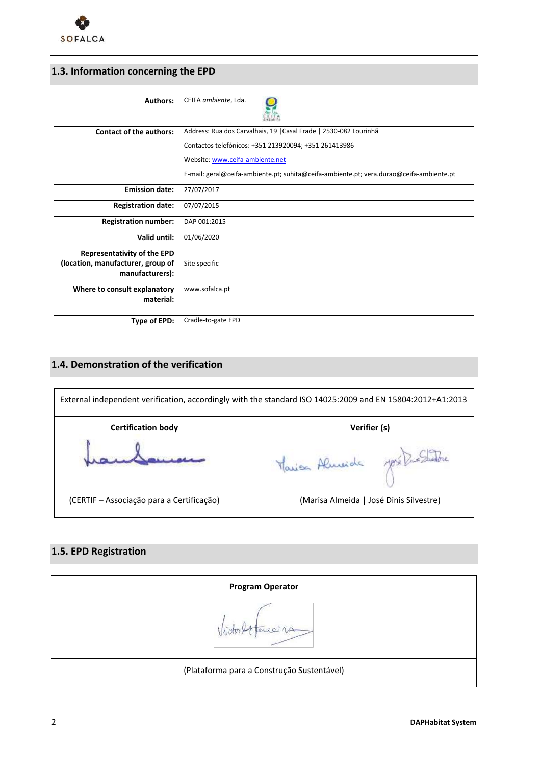

## <span id="page-5-0"></span>**1.3. Information concerning the EPD**

| <b>Authors:</b>                                                                            | CEIFA ambiente, Lda.                                                                    |
|--------------------------------------------------------------------------------------------|-----------------------------------------------------------------------------------------|
| <b>Contact of the authors:</b>                                                             | Address: Rua dos Carvalhais, 19   Casal Frade   2530-082 Lourinhã                       |
|                                                                                            | Contactos telefónicos: +351 213920094; +351 261413986                                   |
|                                                                                            | Website: www.ceifa-ambiente.net                                                         |
|                                                                                            | E-mail: geral@ceifa-ambiente.pt; suhita@ceifa-ambiente.pt; vera.durao@ceifa-ambiente.pt |
| <b>Emission date:</b>                                                                      | 27/07/2017                                                                              |
| <b>Registration date:</b>                                                                  | 07/07/2015                                                                              |
| <b>Registration number:</b>                                                                | DAP 001:2015                                                                            |
| Valid until:                                                                               | 01/06/2020                                                                              |
| <b>Representativity of the EPD</b><br>(location, manufacturer, group of<br>manufacturers): | Site specific                                                                           |
| Where to consult explanatory<br>material:                                                  | www.sofalca.pt                                                                          |
| Type of EPD:                                                                               | Cradle-to-gate EPD                                                                      |

### <span id="page-5-1"></span>**1.4. Demonstration of the verification**

| External independent verification, accordingly with the standard ISO 14025:2009 and EN 15804:2012+A1:2013 |                                         |  |  |  |  |  |  |  |
|-----------------------------------------------------------------------------------------------------------|-----------------------------------------|--|--|--|--|--|--|--|
| <b>Certification body</b>                                                                                 | Verifier (s)                            |  |  |  |  |  |  |  |
|                                                                                                           | Marian Almeide                          |  |  |  |  |  |  |  |
| (CERTIF – Associação para a Certificação)                                                                 | (Marisa Almeida   José Dinis Silvestre) |  |  |  |  |  |  |  |

### <span id="page-5-2"></span>**1.5. EPD Registration**

| <b>Program Operator</b>                    |
|--------------------------------------------|
| 10.74                                      |
| (Plataforma para a Construção Sustentável) |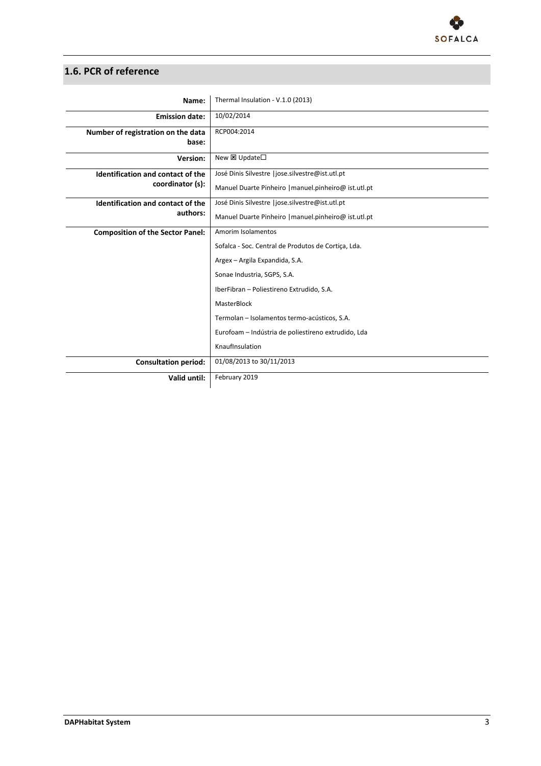

### <span id="page-6-0"></span>**1.6. PCR of reference**

| Name:                                       | Thermal Insulation - V.1.0 (2013)                    |
|---------------------------------------------|------------------------------------------------------|
| <b>Emission date:</b>                       | 10/02/2014                                           |
| Number of registration on the data<br>base: | RCP004:2014                                          |
| Version:                                    | New <b>E</b> Update□                                 |
| Identification and contact of the           | José Dinis Silvestre   jose.silvestre@ist.utl.pt     |
| coordinator (s):                            | Manuel Duarte Pinheiro   manuel.pinheiro@ ist.utl.pt |
| Identification and contact of the           | José Dinis Silvestre   jose.silvestre@ist.utl.pt     |
| authors:                                    | Manuel Duarte Pinheiro   manuel.pinheiro@ ist.utl.pt |
| <b>Composition of the Sector Panel:</b>     | Amorim Isolamentos                                   |
|                                             | Sofalca - Soc. Central de Produtos de Cortiça, Lda.  |
|                                             | Argex - Argila Expandida, S.A.                       |
|                                             | Sonae Industria, SGPS, S.A.                          |
|                                             | IberFibran - Poliestireno Extrudido, S.A.            |
|                                             | MasterBlock                                          |
|                                             | Termolan - Isolamentos termo-acústicos, S.A.         |
|                                             | Eurofoam - Indústria de poliestireno extrudido, Lda  |
|                                             | KnaufInsulation                                      |
| <b>Consultation period:</b>                 | 01/08/2013 to 30/11/2013                             |
| Valid until:                                | February 2019                                        |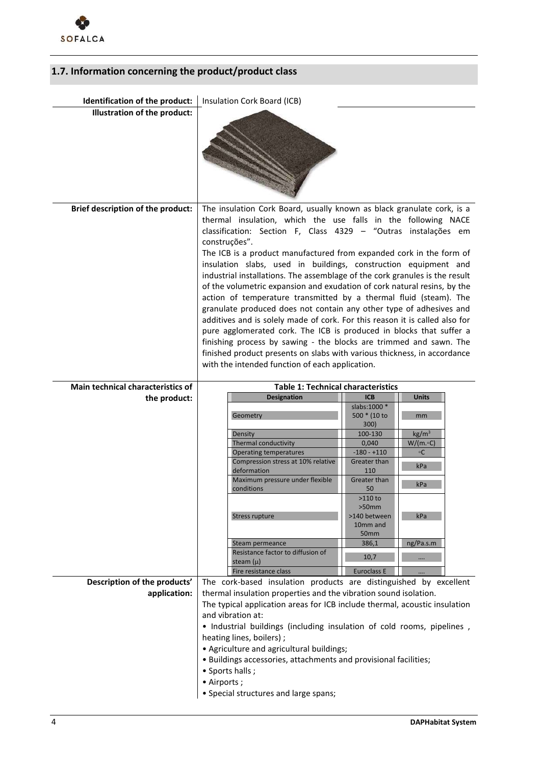

## <span id="page-7-0"></span>**1.7. Information concerning the product/product class**

| Identification of the product:    | Insulation Cork Board (ICB)                                                                                                                                                                                                                                                                                                                                                                                                                                                                                                                                                                                                                                                                                                                                                                                                                                                                                                                                                                                                            |                                                                                                                                                                                                                                                                                                                                     |  |  |  |  |  |
|-----------------------------------|----------------------------------------------------------------------------------------------------------------------------------------------------------------------------------------------------------------------------------------------------------------------------------------------------------------------------------------------------------------------------------------------------------------------------------------------------------------------------------------------------------------------------------------------------------------------------------------------------------------------------------------------------------------------------------------------------------------------------------------------------------------------------------------------------------------------------------------------------------------------------------------------------------------------------------------------------------------------------------------------------------------------------------------|-------------------------------------------------------------------------------------------------------------------------------------------------------------------------------------------------------------------------------------------------------------------------------------------------------------------------------------|--|--|--|--|--|
| Illustration of the product:      |                                                                                                                                                                                                                                                                                                                                                                                                                                                                                                                                                                                                                                                                                                                                                                                                                                                                                                                                                                                                                                        |                                                                                                                                                                                                                                                                                                                                     |  |  |  |  |  |
| Brief description of the product: | The insulation Cork Board, usually known as black granulate cork, is a<br>thermal insulation, which the use falls in the following NACE<br>classification: Section F, Class 4329 - "Outras instalações em<br>construções".<br>The ICB is a product manufactured from expanded cork in the form of<br>insulation slabs, used in buildings, construction equipment and<br>industrial installations. The assemblage of the cork granules is the result<br>of the volumetric expansion and exudation of cork natural resins, by the<br>action of temperature transmitted by a thermal fluid (steam). The<br>granulate produced does not contain any other type of adhesives and<br>additives and is solely made of cork. For this reason it is called also for<br>pure agglomerated cork. The ICB is produced in blocks that suffer a<br>finishing process by sawing - the blocks are trimmed and sawn. The<br>finished product presents on slabs with various thickness, in accordance<br>with the intended function of each application. |                                                                                                                                                                                                                                                                                                                                     |  |  |  |  |  |
| Main technical characteristics of | <b>Table 1: Technical characteristics</b>                                                                                                                                                                                                                                                                                                                                                                                                                                                                                                                                                                                                                                                                                                                                                                                                                                                                                                                                                                                              |                                                                                                                                                                                                                                                                                                                                     |  |  |  |  |  |
| the product:                      | Designation                                                                                                                                                                                                                                                                                                                                                                                                                                                                                                                                                                                                                                                                                                                                                                                                                                                                                                                                                                                                                            | <b>ICB</b><br><b>Units</b>                                                                                                                                                                                                                                                                                                          |  |  |  |  |  |
| Description of the products'      | Geometry<br>Density<br>Thermal conductivity<br><b>Operating temperatures</b><br>Compression stress at 10% relative<br>deformation<br>Maximum pressure under flexible<br>conditions<br>Stress rupture<br>Steam permeance<br>Resistance factor to diffusion of<br>steam $(\mu)$<br>Fire resistance class<br>The cork-based insulation products are distinguished by excellent                                                                                                                                                                                                                                                                                                                                                                                                                                                                                                                                                                                                                                                            | slabs:1000 *<br>500 * (10 to<br>mm<br>300)<br>kg/m <sup>3</sup><br>100-130<br>0,040<br>$W/(m \cdot C)$<br>$-180 - +110$<br>$\circ$ C<br>Greater than<br>kPa<br>110<br>Greater than<br>kPa<br>50<br>$>110$ to<br>$>50$ mm<br>>140 between<br>kPa<br>10mm and<br>50 <sub>mm</sub><br>386,1<br>ng/Pa.s.m<br>10,7<br><b>Euroclass E</b> |  |  |  |  |  |
| application:                      | thermal insulation properties and the vibration sound isolation.                                                                                                                                                                                                                                                                                                                                                                                                                                                                                                                                                                                                                                                                                                                                                                                                                                                                                                                                                                       |                                                                                                                                                                                                                                                                                                                                     |  |  |  |  |  |
|                                   | The typical application areas for ICB include thermal, acoustic insulation<br>and vibration at:<br>. Industrial buildings (including insulation of cold rooms, pipelines,<br>heating lines, boilers);<br>• Agriculture and agricultural buildings;<br>· Buildings accessories, attachments and provisional facilities;<br>• Sports halls;<br>• Airports;                                                                                                                                                                                                                                                                                                                                                                                                                                                                                                                                                                                                                                                                               |                                                                                                                                                                                                                                                                                                                                     |  |  |  |  |  |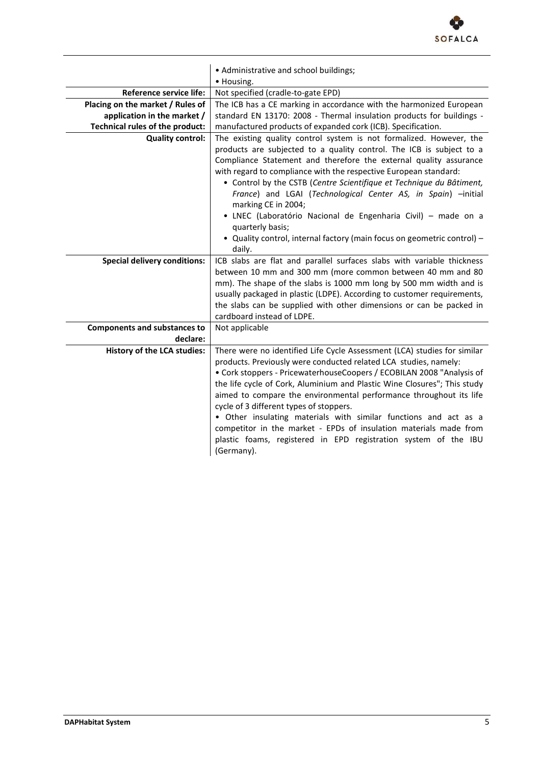

|                                     | • Administrative and school buildings;                                                                                                                                                                                                                                                                                                                                                                                                                                                                                                                                                                                                       |
|-------------------------------------|----------------------------------------------------------------------------------------------------------------------------------------------------------------------------------------------------------------------------------------------------------------------------------------------------------------------------------------------------------------------------------------------------------------------------------------------------------------------------------------------------------------------------------------------------------------------------------------------------------------------------------------------|
|                                     | • Housing.                                                                                                                                                                                                                                                                                                                                                                                                                                                                                                                                                                                                                                   |
| <b>Reference service life:</b>      | Not specified (cradle-to-gate EPD)                                                                                                                                                                                                                                                                                                                                                                                                                                                                                                                                                                                                           |
| Placing on the market / Rules of    | The ICB has a CE marking in accordance with the harmonized European                                                                                                                                                                                                                                                                                                                                                                                                                                                                                                                                                                          |
| application in the market /         | standard EN 13170: 2008 - Thermal insulation products for buildings -                                                                                                                                                                                                                                                                                                                                                                                                                                                                                                                                                                        |
| Technical rules of the product:     | manufactured products of expanded cork (ICB). Specification.                                                                                                                                                                                                                                                                                                                                                                                                                                                                                                                                                                                 |
| <b>Quality control:</b>             | The existing quality control system is not formalized. However, the<br>products are subjected to a quality control. The ICB is subject to a<br>Compliance Statement and therefore the external quality assurance<br>with regard to compliance with the respective European standard:<br>• Control by the CSTB (Centre Scientifique et Technique du Bâtiment,<br>France) and LGAI (Technological Center AS, in Spain) -initial<br>marking CE in 2004;<br>· LNEC (Laboratório Nacional de Engenharia Civil) - made on a<br>quarterly basis;                                                                                                    |
|                                     | • Quality control, internal factory (main focus on geometric control) -<br>daily.                                                                                                                                                                                                                                                                                                                                                                                                                                                                                                                                                            |
| <b>Special delivery conditions:</b> | ICB slabs are flat and parallel surfaces slabs with variable thickness<br>between 10 mm and 300 mm (more common between 40 mm and 80<br>mm). The shape of the slabs is 1000 mm long by 500 mm width and is<br>usually packaged in plastic (LDPE). According to customer requirements,<br>the slabs can be supplied with other dimensions or can be packed in<br>cardboard instead of LDPE.                                                                                                                                                                                                                                                   |
| <b>Components and substances to</b> | Not applicable                                                                                                                                                                                                                                                                                                                                                                                                                                                                                                                                                                                                                               |
| declare:                            |                                                                                                                                                                                                                                                                                                                                                                                                                                                                                                                                                                                                                                              |
| <b>History of the LCA studies:</b>  | There were no identified Life Cycle Assessment (LCA) studies for similar<br>products. Previously were conducted related LCA studies, namely:<br>• Cork stoppers - PricewaterhouseCoopers / ECOBILAN 2008 "Analysis of<br>the life cycle of Cork, Aluminium and Plastic Wine Closures"; This study<br>aimed to compare the environmental performance throughout its life<br>cycle of 3 different types of stoppers.<br>• Other insulating materials with similar functions and act as a<br>competitor in the market - EPDs of insulation materials made from<br>plastic foams, registered in EPD registration system of the IBU<br>(Germany). |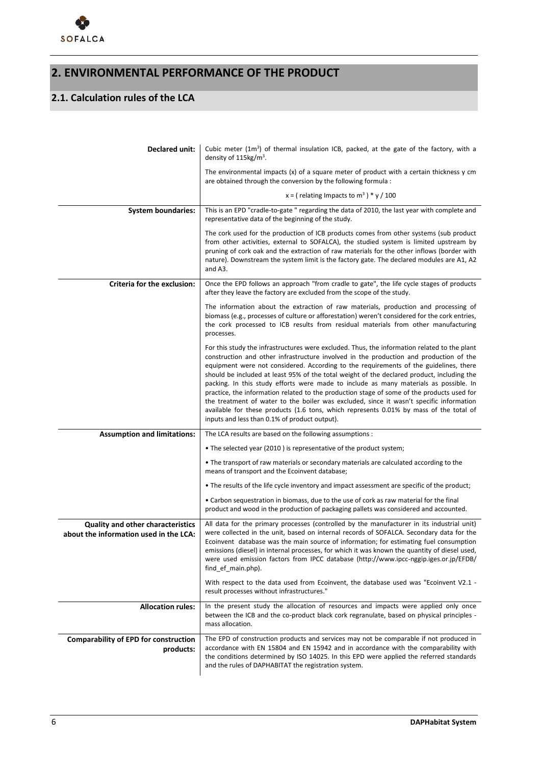

# **2. ENVIRONMENTAL PERFORMANCE OF THE PRODUCT**

## <span id="page-9-0"></span>**2.1. Calculation rules of the LCA**

| Declared unit:                                                                     | Cubic meter $(1m^3)$ of thermal insulation ICB, packed, at the gate of the factory, with a<br>density of $115$ kg/m <sup>3</sup> .                                                                                                                                                                                                                                                                                                                                                                                                                                                                                                                                                                                                                                                                         |
|------------------------------------------------------------------------------------|------------------------------------------------------------------------------------------------------------------------------------------------------------------------------------------------------------------------------------------------------------------------------------------------------------------------------------------------------------------------------------------------------------------------------------------------------------------------------------------------------------------------------------------------------------------------------------------------------------------------------------------------------------------------------------------------------------------------------------------------------------------------------------------------------------|
|                                                                                    | The environmental impacts $(x)$ of a square meter of product with a certain thickness $y$ cm<br>are obtained through the conversion by the following formula :                                                                                                                                                                                                                                                                                                                                                                                                                                                                                                                                                                                                                                             |
|                                                                                    | x = (relating Impacts to m <sup>3</sup> ) * y / 100                                                                                                                                                                                                                                                                                                                                                                                                                                                                                                                                                                                                                                                                                                                                                        |
| <b>System boundaries:</b>                                                          | This is an EPD "cradle-to-gate " regarding the data of 2010, the last year with complete and<br>representative data of the beginning of the study.                                                                                                                                                                                                                                                                                                                                                                                                                                                                                                                                                                                                                                                         |
|                                                                                    | The cork used for the production of ICB products comes from other systems (sub product<br>from other activities, external to SOFALCA), the studied system is limited upstream by<br>pruning of cork oak and the extraction of raw materials for the other inflows (border with<br>nature). Downstream the system limit is the factory gate. The declared modules are A1, A2<br>and A3.                                                                                                                                                                                                                                                                                                                                                                                                                     |
| Criteria for the exclusion:                                                        | Once the EPD follows an approach "from cradle to gate", the life cycle stages of products<br>after they leave the factory are excluded from the scope of the study.                                                                                                                                                                                                                                                                                                                                                                                                                                                                                                                                                                                                                                        |
|                                                                                    | The information about the extraction of raw materials, production and processing of<br>biomass (e.g., processes of culture or afforestation) weren't considered for the cork entries,<br>the cork processed to ICB results from residual materials from other manufacturing<br>processes.                                                                                                                                                                                                                                                                                                                                                                                                                                                                                                                  |
|                                                                                    | For this study the infrastructures were excluded. Thus, the information related to the plant<br>construction and other infrastructure involved in the production and production of the<br>equipment were not considered. According to the requirements of the guidelines, there<br>should be included at least 95% of the total weight of the declared product, including the<br>packing. In this study efforts were made to include as many materials as possible. In<br>practice, the information related to the production stage of some of the products used for<br>the treatment of water to the boiler was excluded, since it wasn't specific information<br>available for these products (1.6 tons, which represents 0.01% by mass of the total of<br>inputs and less than 0.1% of product output). |
| <b>Assumption and limitations:</b>                                                 | The LCA results are based on the following assumptions :                                                                                                                                                                                                                                                                                                                                                                                                                                                                                                                                                                                                                                                                                                                                                   |
|                                                                                    | • The selected year (2010) is representative of the product system;                                                                                                                                                                                                                                                                                                                                                                                                                                                                                                                                                                                                                                                                                                                                        |
|                                                                                    | • The transport of raw materials or secondary materials are calculated according to the<br>means of transport and the Ecoinvent database;                                                                                                                                                                                                                                                                                                                                                                                                                                                                                                                                                                                                                                                                  |
|                                                                                    | . The results of the life cycle inventory and impact assessment are specific of the product;                                                                                                                                                                                                                                                                                                                                                                                                                                                                                                                                                                                                                                                                                                               |
|                                                                                    | • Carbon sequestration in biomass, due to the use of cork as raw material for the final<br>product and wood in the production of packaging pallets was considered and accounted.                                                                                                                                                                                                                                                                                                                                                                                                                                                                                                                                                                                                                           |
| <b>Quality and other characteristics</b><br>about the information used in the LCA: | All data for the primary processes (controlled by the manufacturer in its industrial unit)<br>were collected in the unit, based on internal records of SOFALCA. Secondary data for the<br>Ecoinvent database was the main source of information; for estimating fuel consumption<br>emissions (diesel) in internal processes, for which it was known the quantity of diesel used,<br>were used emission factors from IPCC database (http://www.ipcc-nggip.iges.or.jp/EFDB/<br>find ef main.php).                                                                                                                                                                                                                                                                                                           |
|                                                                                    | With respect to the data used from Ecoinvent, the database used was "Ecoinvent V2.1 -<br>result processes without infrastructures."                                                                                                                                                                                                                                                                                                                                                                                                                                                                                                                                                                                                                                                                        |
| <b>Allocation rules:</b>                                                           | In the present study the allocation of resources and impacts were applied only once<br>between the ICB and the co-product black cork regranulate, based on physical principles -<br>mass allocation.                                                                                                                                                                                                                                                                                                                                                                                                                                                                                                                                                                                                       |
| <b>Comparability of EPD for construction</b><br>products:                          | The EPD of construction products and services may not be comparable if not produced in<br>accordance with EN 15804 and EN 15942 and in accordance with the comparability with<br>the conditions determined by ISO 14025. In this EPD were applied the referred standards<br>and the rules of DAPHABITAT the registration system.                                                                                                                                                                                                                                                                                                                                                                                                                                                                           |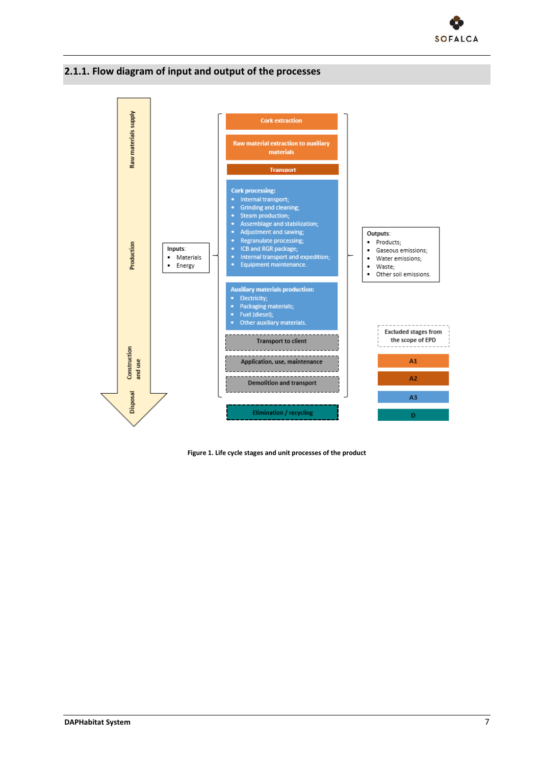

### <span id="page-10-0"></span>**2.1.1. Flow diagram of input and output of the processes**



<span id="page-10-1"></span>**Figure 1. Life cycle stages and unit processes of the product**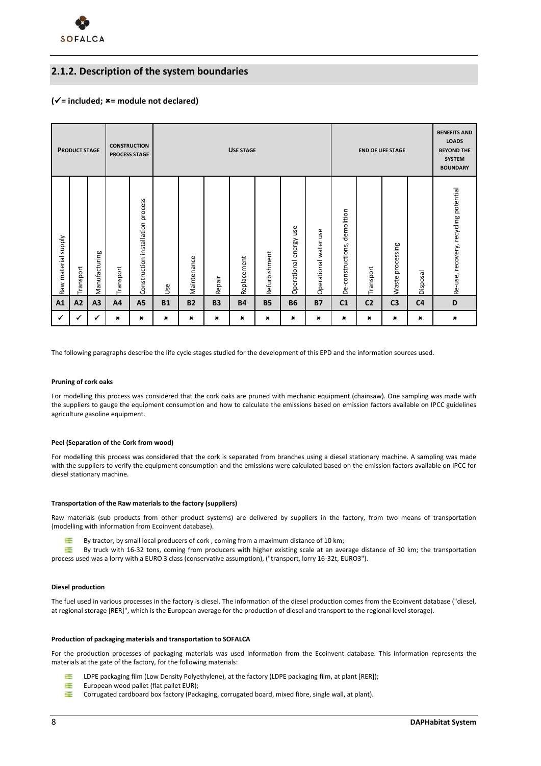

### **2.1.2. Description of the system boundaries**

### **(= included; = module not declared)**

|                     | <b>PRODUCT STAGE</b> |               | <b>CONSTRUCTION</b><br><b>PROCESS STAGE</b> |                                      |           | <b>USE STAGE</b> |             |                |               |                              | <b>END OF LIFE STAGE</b>            |                                 |                | <b>BENEFITS AND</b><br><b>LOADS</b><br><b>BEYOND THE</b><br><b>SYSTEM</b><br><b>BOUNDARY</b> |                |                                       |
|---------------------|----------------------|---------------|---------------------------------------------|--------------------------------------|-----------|------------------|-------------|----------------|---------------|------------------------------|-------------------------------------|---------------------------------|----------------|----------------------------------------------------------------------------------------------|----------------|---------------------------------------|
| Raw material supply | Transport            | Manufacturing | Transport                                   | process<br>Construction installation | Use       | Maintenance      | Repair      | Replacement    | Refurbishment | use<br>energy<br>Operational | Φ<br>S<br>∍<br>water<br>Operational | demolition<br>De-constructions, | Transport      | processing<br>Waste                                                                          | Disposal       | Re-use, recovery, recycling potential |
| A1                  | A2                   | A3            | A4                                          | A <sub>5</sub>                       | <b>B1</b> | <b>B2</b>        | <b>B3</b>   | <b>B4</b>      | <b>B5</b>     | <b>B6</b>                    | <b>B7</b>                           | C <sub>1</sub>                  | C <sub>2</sub> | C <sub>3</sub>                                                                               | C <sub>4</sub> | D                                     |
|                     |                      |               | $\pmb{\times}$                              | ×                                    | ×         | $\pmb{\times}$   | $\mathbf x$ | $\pmb{\times}$ | ×             | ×                            | ×                                   | ×                               | $\pmb{x}$      | $\pmb{x}$                                                                                    | ×              | $\pmb{\times}$                        |

The following paragraphs describe the life cycle stages studied for the development of this EPD and the information sources used.

#### **Pruning of cork oaks**

For modelling this process was considered that the cork oaks are pruned with mechanic equipment (chainsaw). One sampling was made with the suppliers to gauge the equipment consumption and how to calculate the emissions based on emission factors available on IPCC guidelines agriculture gasoline equipment.

#### **Peel (Separation of the Cork from wood)**

For modelling this process was considered that the cork is separated from branches using a diesel stationary machine. A sampling was made with the suppliers to verify the equipment consumption and the emissions were calculated based on the emission factors available on IPCC for diesel stationary machine.

#### **Transportation of the Raw materials to the factory (suppliers)**

Raw materials (sub products from other product systems) are delivered by suppliers in the factory, from two means of transportation (modelling with information from Ecoinvent database).

By tractor, by small local producers of cork , coming from a maximum distance of 10 km;

 $\frac{1}{2}$ By truck with 16-32 tons, coming from producers with higher existing scale at an average distance of 30 km; the transportation process used was a lorry with a EURO 3 class (conservative assumption), ("transport, lorry 16-32t, EURO3").

#### **Diesel production**

The fuel used in various processes in the factory is diesel. The information of the diesel production comes from the Ecoinvent database ("diesel, at regional storage [RER]", which is the European average for the production of diesel and transport to the regional level storage).

#### **Production of packaging materials and transportation to SOFALCA**

For the production processes of packaging materials was used information from the Ecoinvent database. This information represents the materials at the gate of the factory, for the following materials:

- 谭 LDPE packaging film (Low Density Polyethylene), at the factory (LDPE packaging film, at plant [RER]);
- $\frac{1}{2}$ European wood pallet (flat pallet EUR);
- 严 Corrugated cardboard box factory (Packaging, corrugated board, mixed fibre, single wall, at plant).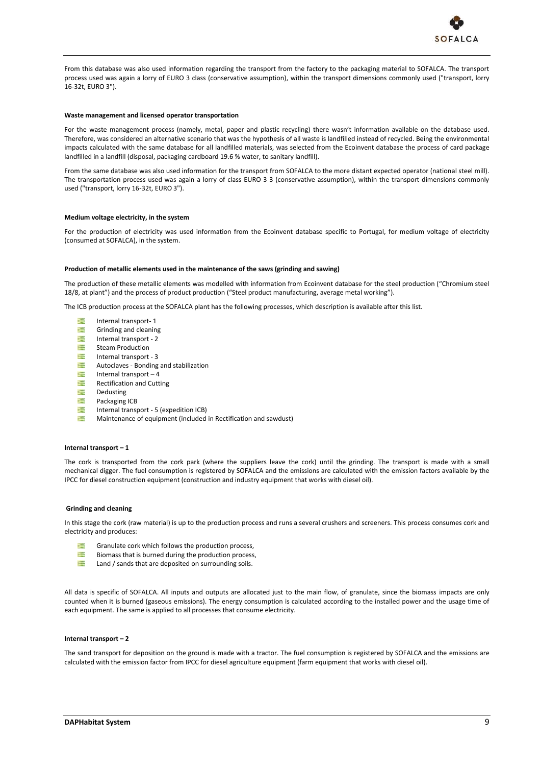

From this database was also used information regarding the transport from the factory to the packaging material to SOFALCA. The transport process used was again a lorry of EURO 3 class (conservative assumption), within the transport dimensions commonly used ("transport, lorry 16-32t, EURO 3").

#### **Waste management and licensed operator transportation**

For the waste management process (namely, metal, paper and plastic recycling) there wasn't information available on the database used. Therefore, was considered an alternative scenario that was the hypothesis of all waste is landfilled instead of recycled. Being the environmental impacts calculated with the same database for all landfilled materials, was selected from the Ecoinvent database the process of card package landfilled in a landfill (disposal, packaging cardboard 19.6 % water, to sanitary landfill).

From the same database was also used information for the transport from SOFALCA to the more distant expected operator (national steel mill). The transportation process used was again a lorry of class EURO 3 3 (conservative assumption), within the transport dimensions commonly used ("transport, lorry 16-32t, EURO 3").

#### **Medium voltage electricity, in the system**

For the production of electricity was used information from the Ecoinvent database specific to Portugal, for medium voltage of electricity (consumed at SOFALCA), in the system.

#### **Production of metallic elements used in the maintenance of the saws (grinding and sawing)**

The production of these metallic elements was modelled with information from Ecoinvent database for the steel production ("Chromium steel 18/8, at plant") and the process of product production ("Steel product manufacturing, average metal working").

The ICB production process at the SOFALCA plant has the following processes, which description is available after this list.

- **The Second** Internal transport- 1
- Grinding and cleaning 谭
- 毫 Internal transport - 2
- 谭 Steam Production
- **The Second** Internal transport - 3
- ≃ Autoclaves - Bonding and stabilization
- 谭 Internal transport – 4
- 谭 Rectification and Cutting
- 寶 Dedusting
- 谭 Packaging ICB
- 疆 Internal transport - 5 (expedition ICB)
- Maintenance of equipment (included in Rectification and sawdust) 谭

#### **Internal transport – 1**

The cork is transported from the cork park (where the suppliers leave the cork) until the grinding. The transport is made with a small mechanical digger. The fuel consumption is registered by SOFALCA and the emissions are calculated with the emission factors available by the IPCC for diesel construction equipment (construction and industry equipment that works with diesel oil).

#### **Grinding and cleaning**

In this stage the cork (raw material) is up to the production process and runs a several crushers and screeners. This process consumes cork and electricity and produces:

- 芒 Granulate cork which follows the production process,
- **Telesting** Biomass that is burned during the production process,
- 谭 Land / sands that are deposited on surrounding soils.

All data is specific of SOFALCA. All inputs and outputs are allocated just to the main flow, of granulate, since the biomass impacts are only counted when it is burned (gaseous emissions). The energy consumption is calculated according to the installed power and the usage time of each equipment. The same is applied to all processes that consume electricity.

#### **Internal transport – 2**

The sand transport for deposition on the ground is made with a tractor. The fuel consumption is registered by SOFALCA and the emissions are calculated with the emission factor from IPCC for diesel agriculture equipment (farm equipment that works with diesel oil).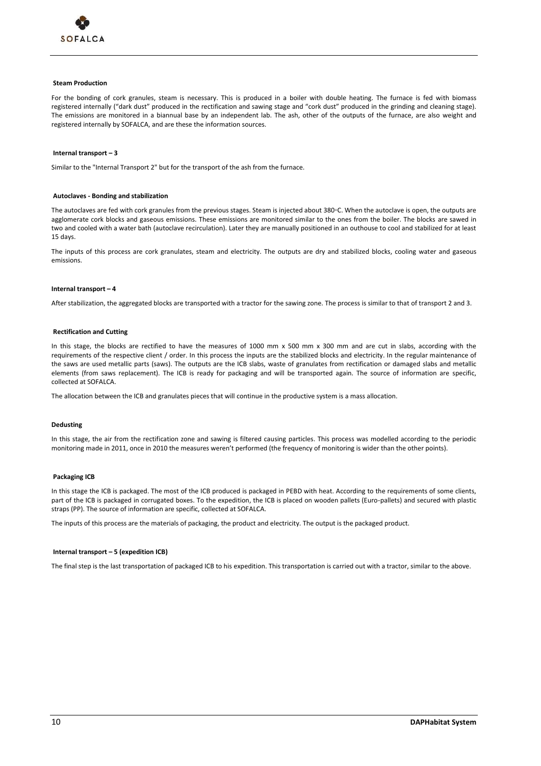

#### **Steam Production**

For the bonding of cork granules, steam is necessary. This is produced in a boiler with double heating. The furnace is fed with biomass registered internally ("dark dust" produced in the rectification and sawing stage and "cork dust" produced in the grinding and cleaning stage). The emissions are monitored in a biannual base by an independent lab. The ash, other of the outputs of the furnace, are also weight and registered internally by SOFALCA, and are these the information sources.

#### **Internal transport – 3**

Similar to the "Internal Transport 2" but for the transport of the ash from the furnace.

#### **Autoclaves - Bonding and stabilization**

The autoclaves are fed with cork granules from the previous stages. Steam is injected about 380◦C. When the autoclave is open, the outputs are agglomerate cork blocks and gaseous emissions. These emissions are monitored similar to the ones from the boiler. The blocks are sawed in two and cooled with a water bath (autoclave recirculation). Later they are manually positioned in an outhouse to cool and stabilized for at least 15 days.

The inputs of this process are cork granulates, steam and electricity. The outputs are dry and stabilized blocks, cooling water and gaseous emissions.

#### **Internal transport – 4**

After stabilization, the aggregated blocks are transported with a tractor for the sawing zone. The process is similar to that of transport 2 and 3.

#### **Rectification and Cutting**

In this stage, the blocks are rectified to have the measures of 1000 mm x 500 mm x 300 mm and are cut in slabs, according with the requirements of the respective client / order. In this process the inputs are the stabilized blocks and electricity. In the regular maintenance of the saws are used metallic parts (saws). The outputs are the ICB slabs, waste of granulates from rectification or damaged slabs and metallic elements (from saws replacement). The ICB is ready for packaging and will be transported again. The source of information are specific, collected at SOFALCA.

The allocation between the ICB and granulates pieces that will continue in the productive system is a mass allocation.

#### **Dedusting**

In this stage, the air from the rectification zone and sawing is filtered causing particles. This process was modelled according to the periodic monitoring made in 2011, once in 2010 the measures weren't performed (the frequency of monitoring is wider than the other points).

#### **Packaging ICB**

In this stage the ICB is packaged. The most of the ICB produced is packaged in PEBD with heat. According to the requirements of some clients, part of the ICB is packaged in corrugated boxes. To the expedition, the ICB is placed on wooden pallets (Euro-pallets) and secured with plastic straps (PP). The source of information are specific, collected at SOFALCA.

The inputs of this process are the materials of packaging, the product and electricity. The output is the packaged product.

#### **Internal transport – 5 (expedition ICB)**

The final step is the last transportation of packaged ICB to his expedition. This transportation is carried out with a tractor, similar to the above.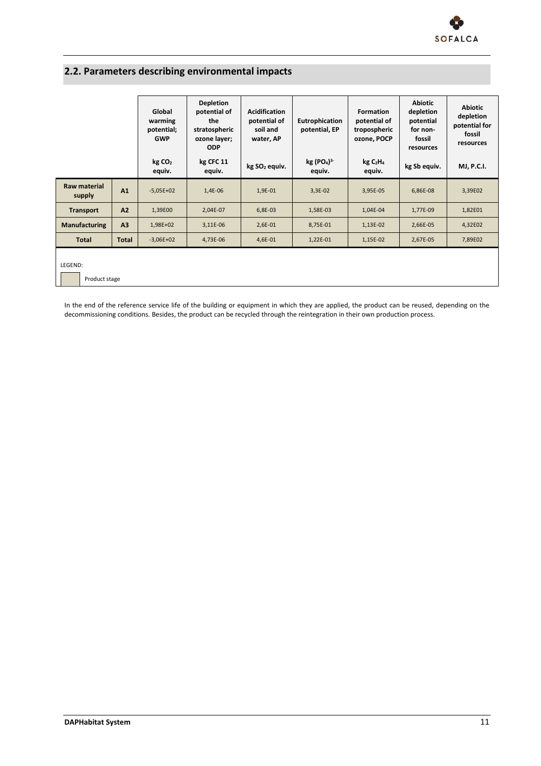

# <span id="page-14-0"></span>**2.2. Parameters describing environmental impacts**

|                              |                | Global<br>warming<br>potential;<br><b>GWP</b> | <b>Depletion</b><br>potential of<br>the<br>stratospheric<br>ozone layer;<br><b>ODP</b> | <b>Acidification</b><br>potential of<br>soil and<br>water, AP | Eutrophication<br>potential, EP              | <b>Formation</b><br>potential of<br>tropospheric<br>ozone, POCP | <b>Abiotic</b><br>depletion<br>potential<br>for non-<br>fossil<br>resources | <b>Abiotic</b><br>depletion<br>potential for<br>fossil<br>resources |
|------------------------------|----------------|-----------------------------------------------|----------------------------------------------------------------------------------------|---------------------------------------------------------------|----------------------------------------------|-----------------------------------------------------------------|-----------------------------------------------------------------------------|---------------------------------------------------------------------|
|                              |                | kg CO <sub>2</sub><br>equiv.                  | kg CFC 11<br>equiv.                                                                    | kg SO <sub>2</sub> equiv.                                     | kg (PO <sub>4</sub> ) <sup>3</sup><br>equiv. | kg C <sub>2</sub> H <sub>4</sub><br>equiv.                      | kg Sb equiv.                                                                | <b>MJ, P.C.I.</b>                                                   |
| Raw material<br>supply       | A1             | $-5,05E+02$                                   | 1,4E-06                                                                                | 1,9E-01                                                       | $3,3E-02$                                    | 3,95E-05                                                        | 6,86E-08                                                                    | 3,39E02                                                             |
| <b>Transport</b>             | A2             | 1,39E00                                       | 2,04E-07                                                                               | 6,8E-03                                                       | 1,58E-03                                     | 1,04E-04                                                        | 1,77E-09                                                                    | 1,82E01                                                             |
| <b>Manufacturing</b>         | A <sub>3</sub> | 1,98E+02                                      | 3,11E-06                                                                               | $2,6E-01$                                                     | 8,75E-01                                     | 1,13E-02                                                        | 2,66E-05                                                                    | 4,32E02                                                             |
| <b>Total</b><br><b>Total</b> |                | $-3,06E+02$                                   | 4,73E-06                                                                               | 4,6E-01                                                       | 1,22E-01                                     | 1,15E-02                                                        | 2,67E-05                                                                    | 7,89E02                                                             |
| LEGEND:<br>Product stage     |                |                                               |                                                                                        |                                                               |                                              |                                                                 |                                                                             |                                                                     |

In the end of the reference service life of the building or equipment in which they are applied, the product can be reused, depending on the decommissioning conditions. Besides, the product can be recycled through the reintegration in their own production process.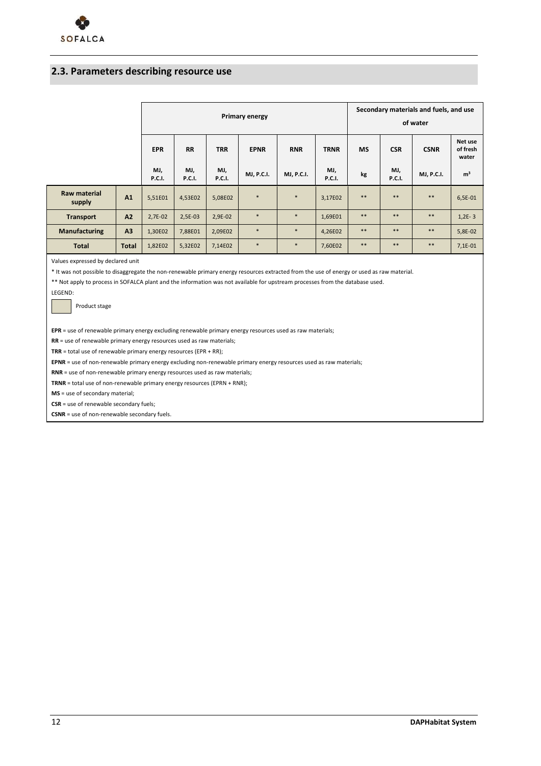### <span id="page-15-0"></span>**2.3. Parameters describing resource use**

|                               |                | Primary energy       |                      |                      |             |                   |                      | Secondary materials and fuels, and use<br>of water |                      |             |                              |
|-------------------------------|----------------|----------------------|----------------------|----------------------|-------------|-------------------|----------------------|----------------------------------------------------|----------------------|-------------|------------------------------|
|                               |                | <b>EPR</b>           | <b>RR</b>            | <b>TRR</b>           | <b>EPNR</b> | <b>RNR</b>        | <b>TRNR</b>          | <b>MS</b>                                          | <b>CSR</b>           | <b>CSNR</b> | Net use<br>of fresh<br>water |
|                               |                | MJ,<br><b>P.C.I.</b> | MJ,<br><b>P.C.I.</b> | MJ,<br><b>P.C.I.</b> | MJ, P.C.I.  | <b>MJ, P.C.I.</b> | MJ,<br><b>P.C.I.</b> | kg                                                 | MJ,<br><b>P.C.I.</b> | MJ, P.C.I.  | m <sup>3</sup>               |
| <b>Raw material</b><br>supply | A <sub>1</sub> | 5,51E01              | 4,53E02              | 5,08E02              | $\ast$      | $\ast$            | 3,17E02              | $***$                                              | $***$                | $***$       | 6,5E-01                      |
| <b>Transport</b>              | A2             | 2,7E-02              | 2,5E-03              | 2,9E-02              | $\ast$      | $\ast$            | 1,69E01              | $***$                                              | $***$                | **          | $1,2E-3$                     |
| Manufacturing                 | A3             | 1,30E02              | 7,88E01              | 2,09E02              | $*$         | $\ast$            | 4,26E02              | $***$                                              | $***$                | $***$       | 5,8E-02                      |
| <b>Total</b>                  | <b>Total</b>   | 1,82E02              | 5,32E02              | 7,14E02              | $\ast$      | $\ast$            | 7,60E02              | $***$                                              | **                   | **          | $7,1E-01$                    |

Values expressed by declared unit

\* It was not possible to disaggregate the non-renewable primary energy resources extracted from the use of energy or used as raw material.

\*\* Not apply to process in SOFALCA plant and the information was not available for upstream processes from the database used.

LEGEND:

Product stage

**EPR** = use of renewable primary energy excluding renewable primary energy resources used as raw materials;

**RR** = use of renewable primary energy resources used as raw materials;

**TRR** = total use of renewable primary energy resources (EPR + RR);

**EPNR** = use of non-renewable primary energy excluding non-renewable primary energy resources used as raw materials;

**RNR** = use of non-renewable primary energy resources used as raw materials;

**TRNR** = total use of non-renewable primary energy resources (EPRN + RNR);

**MS** = use of secondary material;

**CSR** = use of renewable secondary fuels;

**CSNR** = use of non-renewable secondary fuels.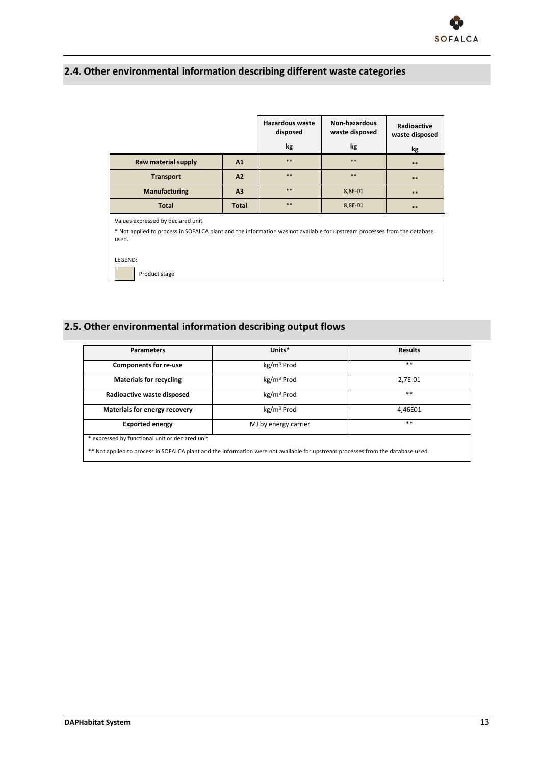

## <span id="page-16-0"></span>**2.4. Other environmental information describing different waste categories**

|                                                                                                                                   |                | Hazardous waste<br>disposed | Non-hazardous<br>waste disposed | Radioactive<br>waste disposed |  |  |  |
|-----------------------------------------------------------------------------------------------------------------------------------|----------------|-----------------------------|---------------------------------|-------------------------------|--|--|--|
|                                                                                                                                   |                | kg                          | kg                              | kg                            |  |  |  |
| Raw material supply                                                                                                               | A1             | $***$                       | $***$                           | **                            |  |  |  |
| <b>Transport</b>                                                                                                                  | A2             | $***$                       | **                              | **                            |  |  |  |
| Manufacturing                                                                                                                     | A <sub>3</sub> | $***$                       | 8,8E-01                         | **                            |  |  |  |
| <b>Total</b>                                                                                                                      | <b>Total</b>   | $***$                       | 8,8E-01                         | **                            |  |  |  |
| Values expressed by declared unit                                                                                                 |                |                             |                                 |                               |  |  |  |
| * Not applied to process in SOFALCA plant and the information was not available for upstream processes from the database<br>used. |                |                             |                                 |                               |  |  |  |
|                                                                                                                                   |                |                             |                                 |                               |  |  |  |
| LEGEND:                                                                                                                           |                |                             |                                 |                               |  |  |  |
| Product stage                                                                                                                     |                |                             |                                 |                               |  |  |  |

## <span id="page-16-1"></span>**2.5. Other environmental information describing output flows**

| <b>Parameters</b>                                                                                                                | Units*                 | <b>Results</b> |  |  |  |  |
|----------------------------------------------------------------------------------------------------------------------------------|------------------------|----------------|--|--|--|--|
| <b>Components for re-use</b>                                                                                                     | kg/m <sup>3</sup> Prod | $**$           |  |  |  |  |
| <b>Materials for recycling</b>                                                                                                   | kg/m <sup>3</sup> Prod | 2.7E-01        |  |  |  |  |
| Radioactive waste disposed                                                                                                       | kg/m <sup>3</sup> Prod | $***$          |  |  |  |  |
| Materials for energy recovery                                                                                                    | kg/m <sup>3</sup> Prod | 4.46E01        |  |  |  |  |
| <b>Exported energy</b>                                                                                                           | MJ by energy carrier   | $***$          |  |  |  |  |
| * expressed by functional unit or declared unit                                                                                  |                        |                |  |  |  |  |
| ** Not applied to process in SOFALCA plant and the information were not available for upstream processes from the database used. |                        |                |  |  |  |  |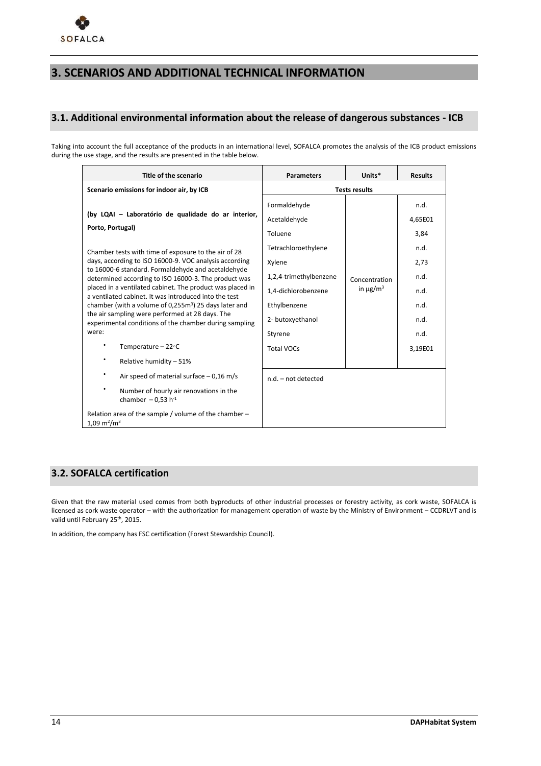### <span id="page-17-0"></span>**3. SCENARIOS AND ADDITIONAL TECHNICAL INFORMATION**

### <span id="page-17-1"></span>**3.1. Additional environmental information about the release of dangerous substances - ICB**

Taking into account the full acceptance of the products in an international level, SOFALCA promotes the analysis of the ICB product emissions during the use stage, and the results are presented in the table below.

| Title of the scenario                                                                                              | <b>Parameters</b>            | Units*                                     | <b>Results</b>  |  |  |
|--------------------------------------------------------------------------------------------------------------------|------------------------------|--------------------------------------------|-----------------|--|--|
| Scenario emissions for indoor air, by ICB                                                                          | <b>Tests results</b>         |                                            |                 |  |  |
| (by LQAI - Laboratório de qualidade do ar interior,                                                                | Formaldehyde<br>Acetaldehyde |                                            | n.d.<br>4,65E01 |  |  |
| Porto, Portugal)                                                                                                   | Toluene                      |                                            | 3,84            |  |  |
| Chamber tests with time of exposure to the air of 28                                                               | Tetrachloroethylene          |                                            | n.d.            |  |  |
| days, according to ISO 16000-9. VOC analysis according<br>to 16000-6 standard. Formaldehyde and acetaldehyde       | Xylene                       | Concentration<br>in $\mu$ g/m <sup>3</sup> | 2,73            |  |  |
| determined according to ISO 16000-3. The product was                                                               | 1,2,4-trimethylbenzene       |                                            | n.d.            |  |  |
| placed in a ventilated cabinet. The product was placed in<br>a ventilated cabinet. It was introduced into the test | 1,4-dichlorobenzene          |                                            | n.d.            |  |  |
| chamber (with a volume of 0,255m <sup>3</sup> ) 25 days later and                                                  | Ethylbenzene                 |                                            | n.d.            |  |  |
| the air sampling were performed at 28 days. The<br>experimental conditions of the chamber during sampling          | 2- butoxyethanol             |                                            | n.d.            |  |  |
| were:                                                                                                              | Styrene                      |                                            | n.d.            |  |  |
| Temperature $-22$ °C                                                                                               | <b>Total VOCs</b>            |                                            | 3,19E01         |  |  |
| Relative humidity - 51%                                                                                            |                              |                                            |                 |  |  |
| Air speed of material surface $-0.16$ m/s                                                                          | n.d. - not detected          |                                            |                 |  |  |
| Number of hourly air renovations in the<br>chamber $-0.53$ h <sup>-1</sup>                                         |                              |                                            |                 |  |  |
| Relation area of the sample / volume of the chamber -<br>$1,09 \text{ m}^2/\text{m}^3$                             |                              |                                            |                 |  |  |

### <span id="page-17-2"></span>**3.2. SOFALCA certification**

Given that the raw material used comes from both byproducts of other industrial processes or forestry activity, as cork waste, SOFALCA is licensed as cork waste operator – with the authorization for management operation of waste by the Ministry of Environment – CCDRLVT and is valid until February 25<sup>th</sup>, 2015.

In addition, the company has FSC certification (Forest Stewardship Council).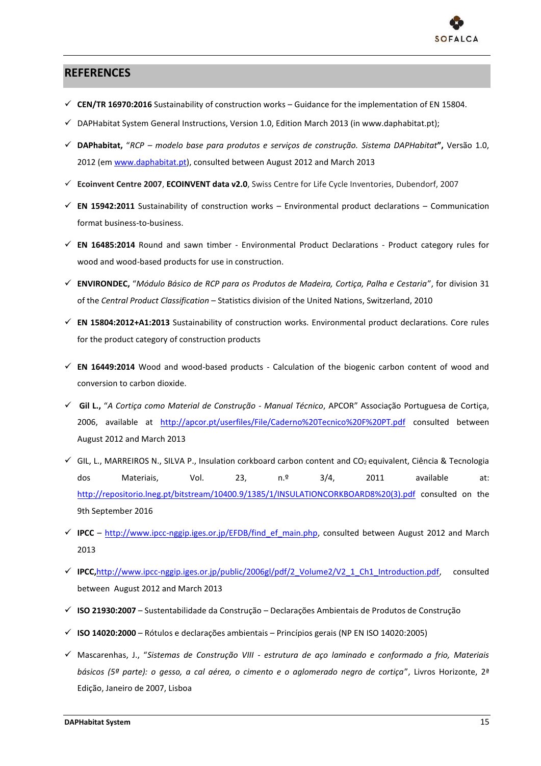

### <span id="page-18-0"></span>**REFERENCES**

- **CEN/TR 16970:2016** Sustainability of construction works Guidance for the implementation of EN 15804.
- $\checkmark$  DAPHabitat System General Instructions, Version 1.0, Edition March 2013 (in www.daphabitat.pt);
- **DAPhabitat,** "*RCP – modelo base para produtos e serviços de construção. Sistema DAPHabitat***",** Versão 1.0, 2012 (em [www.daphabitat.pt\)](http://www.daphabitat.pt/), consulted between August 2012 and March 2013
- **Ecoinvent Centre 2007**, **ECOINVENT data v2.0**, Swiss Centre for Life Cycle Inventories, Dubendorf, 2007
- $\checkmark$  **EN 15942:2011** Sustainability of construction works Environmental product declarations Communication format business-to-business.
- **EN 16485:2014** Round and sawn timber Environmental Product Declarations Product category rules for wood and wood-based products for use in construction.
- **ENVIRONDEC,** "*Módulo Básico de RCP para os Produtos de Madeira, Cortiça, Palha e Cestaria*", for division 31 of the *Central Product Classification* – Statistics division of the United Nations, Switzerland, 2010
- **EN 15804:2012+A1:2013** Sustainability of construction works. Environmental product declarations. Core rules for the product category of construction products
- **EN 16449:2014** Wood and wood-based products Calculation of the biogenic carbon content of wood and conversion to carbon dioxide.
- **Gil L.,** "*A Cortiça como Material de Construção - Manual Técnico*, APCOR" Associação Portuguesa de Cortiça, 2006, available at <http://apcor.pt/userfiles/File/Caderno%20Tecnico%20F%20PT.pdf> consulted between August 2012 and March 2013
- $\checkmark$  GIL, L., MARREIROS N., SILVA P., Insulation corkboard carbon content and CO<sub>2</sub> equivalent, Ciência & Tecnologia dos Materiais, Vol. 23, n.º 3/4, 2011 available at: [http://repositorio.lneg.pt/bitstream/10400.9/1385/1/INSULATIONCORKBOARD8%20\(3\).pdf](http://repositorio.lneg.pt/bitstream/10400.9/1385/1/INSULATIONCORKBOARD8%20(3).pdf) consulted on the 9th September 2016
- $\checkmark$  **IPCC** [http://www.ipcc-nggip.iges.or.jp/EFDB/find\\_ef\\_main.php,](http://www.ipcc-nggip.iges.or.jp/EFDB/find_ef_main.php) consulted between August 2012 and March 2013
- **IPCC,**[http://www.ipcc-nggip.iges.or.jp/public/2006gl/pdf/2\\_Volume2/V2\\_1\\_Ch1\\_Introduction.pdf,](http://www.ipcc-nggip.iges.or.jp/public/2006gl/pdf/2_Volume2/V2_1_Ch1_Introduction.pdf) consulted between August 2012 and March 2013
- **ISO 21930:2007** Sustentabilidade da Construção Declarações Ambientais de Produtos de Construção
- **ISO 14020:2000** Rótulos e declarações ambientais Princípios gerais (NP EN ISO 14020:2005)
- Mascarenhas, J., "*Sistemas de Construção VIII - estrutura de aço laminado e conformado a frio, Materiais básicos (5ª parte): o gesso, a cal aérea, o cimento e o aglomerado negro de cortiça*", Livros Horizonte, 2ª Edição, Janeiro de 2007, Lisboa